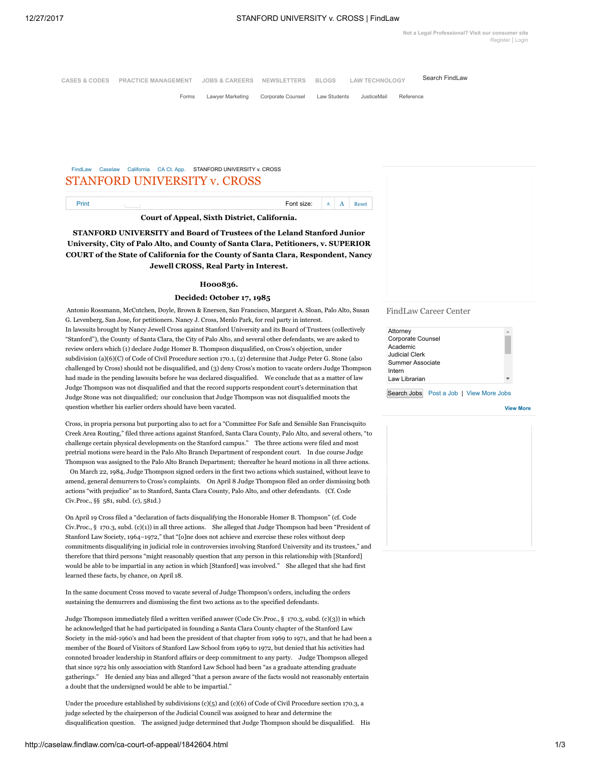[Not a Legal Professional? Visit our consumer site](http://www.findlaw.com/) [Register](http://login.findlaw.com/scripts/register?dest=http://caselaw.findlaw.com/ca-court-of-appeal/1842604.html) | [Login](http://login.findlaw.com/scripts/login?dest=http://caselaw.findlaw.com/ca-court-of-appeal/1842604.html)

| CASES & CODES PRACTICE MANAGEMENT JOBS & CAREERS NEWSLETTERS BLOGS LAW TECHNOLOGY |  |             |           | Search FindLaw |
|-----------------------------------------------------------------------------------|--|-------------|-----------|----------------|
| Forms                                                                             |  | JusticeMail | Reference |                |

# [FindLaw](http://www.findlaw.com/) [Caselaw](http://caselaw.findlaw.com/) [California](http://caselaw.findlaw.com/courts/California) [CA Ct. App.](http://caselaw.findlaw.com/court/ca-court-of-appeal) STANFORD UNIVERSITY v. CROSS STANFORD UNIVERSITY v. CROSS

| Print | ۱г<br>$- - - - -$<br>SIZ.<br>.v | $\mathbf{r}$ | . . | .<br>$-0.00000$ |
|-------|---------------------------------|--------------|-----|-----------------|

Court of Appeal, Sixth District, California.

## STANFORD UNIVERSITY and Board of Trustees of the Leland Stanford Junior University, City of Palo Alto, and County of Santa Clara, Petitioners, v. SUPERIOR COURT of the State of California for the County of Santa Clara, Respondent, Nancy Jewell CROSS, Real Party in Interest.

## H000836.

## Decided: October 17, 1985

Antonio Rossmann, McCutchen, Doyle, Brown & Enersen, San Francisco, Margaret A. Sloan, Palo Alto, Susan G. Levenberg, San Jose, for petitioners. Nancy J. Cross, Menlo Park, for real party in interest. In lawsuits brought by Nancy Jewell Cross against Stanford University and its Board of Trustees (collectively "Stanford"), the County of Santa Clara, the City of Palo Alto, and several other defendants, we are asked to review orders which (1) declare Judge Homer B. Thompson disqualified, on Cross's objection, under subdivision (a)(6)(C) of Code of Civil Procedure section 170.1, (2) determine that Judge Peter G. Stone (also challenged by Cross) should not be disqualified, and (3) deny Cross's motion to vacate orders Judge Thompson had made in the pending lawsuits before he was declared disqualified. We conclude that as a matter of law Judge Thompson was not disqualified and that the record supports respondent court's determination that Judge Stone was not disqualified; our conclusion that Judge Thompson was not disqualified moots the question whether his earlier orders should have been vacated.

Cross, in propria persona but purporting also to act for a "Committee For Safe and Sensible San Francisquito Creek Area Routing," filed three actions against Stanford, Santa Clara County, Palo Alto, and several others, "to challenge certain physical developments on the Stanford campus." The three actions were filed and most pretrial motions were heard in the Palo Alto Branch Department of respondent court. In due course Judge Thompson was assigned to the Palo Alto Branch Department; thereafter he heard motions in all three actions. On March 22, 1984, Judge Thompson signed orders in the first two actions which sustained, without leave to amend, general demurrers to Cross's complaints. On April 8 Judge Thompson filed an order dismissing both actions "with prejudice" as to Stanford, Santa Clara County, Palo Alto, and other defendants. (Cf. Code Civ.Proc., §§ 581, subd. (c), 581d.)

On April 19 Cross filed a "declaration of facts disqualifying the Honorable Homer B. Thompson" (cf. Code Civ.Proc., § 170.3, subd. (c)(1)) in all three actions. She alleged that Judge Thompson had been "President of Stanford Law Society, 1964–1972," that "[o]ne does not achieve and exercise these roles without deep commitments disqualifying in judicial role in controversies involving Stanford University and its trustees," and therefore that third persons "might reasonably question that any person in this relationship with [Stanford] would be able to be impartial in any action in which [Stanford] was involved." She alleged that she had first learned these facts, by chance, on April 18.

In the same document Cross moved to vacate several of Judge Thompson's orders, including the orders sustaining the demurrers and dismissing the first two actions as to the specified defendants.

Judge Thompson immediately filed a written verified answer (Code Civ.Proc., § 170.3, subd. (c)(3)) in which he acknowledged that he had participated in founding a Santa Clara County chapter of the Stanford Law Society in the mid-1960's and had been the president of that chapter from 1969 to 1971, and that he had been a member of the Board of Visitors of Stanford Law School from 1969 to 1972, but denied that his activities had connoted broader leadership in Stanford affairs or deep commitment to any party. Judge Thompson alleged that since 1972 his only association with Stanford Law School had been "as a graduate attending graduate gatherings." He denied any bias and alleged "that a person aware of the facts would not reasonably entertain a doubt that the undersigned would be able to be impartial."

Under the procedure established by subdivisions  $(c)(5)$  and  $(c)(6)$  of Code of Civil Procedure section 170.3, a judge selected by the chairperson of the Judicial Council was assigned to hear and determine the disqualification question. The assigned judge determined that Judge Thompson should be disqualified. His

#### FindLaw Career Center

| Attorney          |  |
|-------------------|--|
| Corporate Counsel |  |
| Academic          |  |
| Judicial Clerk    |  |
| Summer Associate  |  |
| Intern            |  |
| Law Librarian     |  |
|                   |  |

Search Jobs [Post a Job](http://www.indeed.com/hire?indpubnum=791244634154558) | [View More Jobs](http://careers.findlaw.com/)

[View More](http://careers.findlaw.com/)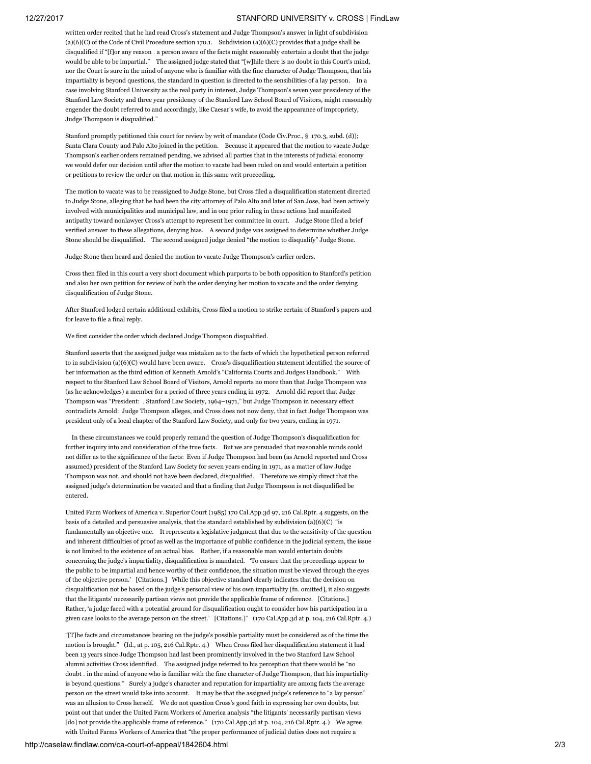#### 12/27/2017 STANFORD UNIVERSITY v. CROSS | FindLaw

written order recited that he had read Cross's statement and Judge Thompson's answer in light of subdivision (a)(6)(C) of the Code of Civil Procedure section 170.1. Subdivision (a)(6)(C) provides that a judge shall be disqualified if "[f]or any reason ․ a person aware of the facts might reasonably entertain a doubt that the judge would be able to be impartial." The assigned judge stated that "[w]hile there is no doubt in this Court's mind, nor the Court is sure in the mind of anyone who is familiar with the fine character of Judge Thompson, that his impartiality is beyond questions, the standard in question is directed to the sensibilities of a lay person. In a case involving Stanford University as the real party in interest, Judge Thompson's seven year presidency of the Stanford Law Society and three year presidency of the Stanford Law School Board of Visitors, might reasonably engender the doubt referred to and accordingly, like Caesar's wife, to avoid the appearance of impropriety, Judge Thompson is disqualified."

Stanford promptly petitioned this court for review by writ of mandate (Code Civ.Proc., § 170.3, subd. (d)); Santa Clara County and Palo Alto joined in the petition. Because it appeared that the motion to vacate Judge Thompson's earlier orders remained pending, we advised all parties that in the interests of judicial economy we would defer our decision until after the motion to vacate had been ruled on and would entertain a petition or petitions to review the order on that motion in this same writ proceeding.

The motion to vacate was to be reassigned to Judge Stone, but Cross filed a disqualification statement directed to Judge Stone, alleging that he had been the city attorney of Palo Alto and later of San Jose, had been actively involved with municipalities and municipal law, and in one prior ruling in these actions had manifested antipathy toward nonlawyer Cross's attempt to represent her committee in court. Judge Stone filed a brief verified answer to these allegations, denying bias. A second judge was assigned to determine whether Judge Stone should be disqualified. The second assigned judge denied "the motion to disqualify" Judge Stone.

Judge Stone then heard and denied the motion to vacate Judge Thompson's earlier orders.

Cross then filed in this court a very short document which purports to be both opposition to Stanford's petition and also her own petition for review of both the order denying her motion to vacate and the order denying disqualification of Judge Stone.

After Stanford lodged certain additional exhibits, Cross filed a motion to strike certain of Stanford's papers and for leave to file a final reply.

#### We first consider the order which declared Judge Thompson disqualified.

Stanford asserts that the assigned judge was mistaken as to the facts of which the hypothetical person referred to in subdivision (a)(6)(C) would have been aware. Cross's disqualification statement identified the source of her information as the third edition of Kenneth Arnold's "California Courts and Judges Handbook." With respect to the Stanford Law School Board of Visitors, Arnold reports no more than that Judge Thompson was (as he acknowledges) a member for a period of three years ending in 1972. Arnold did report that Judge Thompson was "President: ․ Stanford Law Society, 1964–1971," but Judge Thompson in necessary effect contradicts Arnold: Judge Thompson alleges, and Cross does not now deny, that in fact Judge Thompson was president only of a local chapter of the Stanford Law Society, and only for two years, ending in 1971.

In these circumstances we could properly remand the question of Judge Thompson's disqualification for further inquiry into and consideration of the true facts. But we are persuaded that reasonable minds could not differ as to the significance of the facts: Even if Judge Thompson had been (as Arnold reported and Cross assumed) president of the Stanford Law Society for seven years ending in 1971, as a matter of law Judge Thompson was not, and should not have been declared, disqualified. Therefore we simply direct that the assigned judge's determination be vacated and that a finding that Judge Thompson is not disqualified be entered.

United Farm Workers of America v. Superior Court (1985) 170 Cal.App.3d 97, 216 Cal.Rptr. 4 suggests, on the basis of a detailed and persuasive analysis, that the standard established by subdivision (a)(6)(C) "is fundamentally an objective one. It represents a legislative judgment that due to the sensitivity of the question and inherent difficulties of proof as well as the importance of public confidence in the judicial system, the issue is not limited to the existence of an actual bias. Rather, if a reasonable man would entertain doubts concerning the judge's impartiality, disqualification is mandated. 'To ensure that the proceedings appear to the public to be impartial and hence worthy of their confidence, the situation must be viewed through the eyes of the objective person.' [Citations.] While this objective standard clearly indicates that the decision on disqualification not be based on the judge's personal view of his own impartiality [fn. omitted], it also suggests that the litigants' necessarily partisan views not provide the applicable frame of reference. [Citations.] Rather, 'a judge faced with a potential ground for disqualification ought to consider how his participation in a given case looks to the average person on the street.' [Citations.]" (170 Cal.App.3d at p. 104, 216 Cal.Rptr. 4.)

"[T]he facts and circumstances bearing on the judge's possible partiality must be considered as of the time the motion is brought." (Id., at p. 105, 216 Cal.Rptr. 4.) When Cross filed her disqualification statement it had been 13 years since Judge Thompson had last been prominently involved in the two Stanford Law School alumni activities Cross identified. The assigned judge referred to his perception that there would be "no doubt ․ in the mind of anyone who is familiar with the fine character of Judge Thompson, that his impartiality is beyond questions․" Surely a judge's character and reputation for impartiality are among facts the average person on the street would take into account. It may be that the assigned judge's reference to "a lay person" was an allusion to Cross herself. We do not question Cross's good faith in expressing her own doubts, but point out that under the United Farm Workers of America analysis "the litigants' necessarily partisan views [do] not provide the applicable frame of reference." (170 Cal.App.3d at p. 104, 216 Cal.Rptr. 4.) We agree with United Farms Workers of America that "the proper performance of judicial duties does not require a